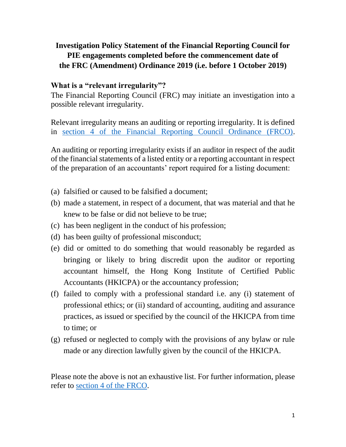# **Investigation Policy Statement of the Financial Reporting Council for PIE engagements completed before the commencement date of the FRC (Amendment) Ordinance 2019 (i.e. before 1 October 2019)**

### **What is a "relevant irregularity"?**

The Financial Reporting Council (FRC) may initiate an investigation into a possible relevant irregularity.

Relevant irregularity means an auditing or reporting irregularity. It is defined in [section 4 of the Financial Reporting Council Ordinance \(FRCO\).](https://www.elegislation.gov.hk/hk/cap588?xpid=ID_1438403493022_002)

An auditing or reporting irregularity exists if an auditor in respect of the audit of the financial statements of a listed entity or a reporting accountant in respect of the preparation of an accountants' report required for a listing document:

- (a) falsified or caused to be falsified a document;
- (b) made a statement, in respect of a document, that was material and that he knew to be false or did not believe to be true;
- (c) has been negligent in the conduct of his profession;
- (d) has been guilty of professional misconduct;
- (e) did or omitted to do something that would reasonably be regarded as bringing or likely to bring discredit upon the auditor or reporting accountant himself, the Hong Kong Institute of Certified Public Accountants (HKICPA) or the accountancy profession;
- (f) failed to comply with a professional standard i.e. any (i) statement of professional ethics; or (ii) standard of accounting, auditing and assurance practices, as issued or specified by the council of the HKICPA from time to time; or
- (g) refused or neglected to comply with the provisions of any bylaw or rule made or any direction lawfully given by the council of the HKICPA.

Please note the above is not an exhaustive list. For further information, please refer to [section 4 of the FRCO.](https://www.elegislation.gov.hk/hk/cap588?xpid=ID_1438403493022_002)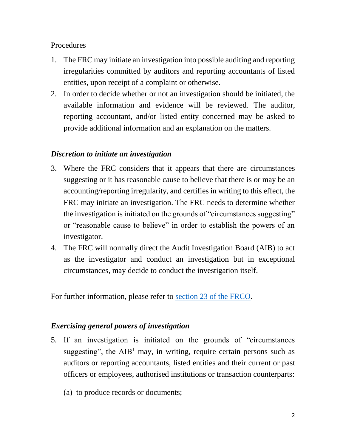### Procedures

- 1. The FRC may initiate an investigation into possible auditing and reporting irregularities committed by auditors and reporting accountants of listed entities, upon receipt of a complaint or otherwise.
- 2. In order to decide whether or not an investigation should be initiated, the available information and evidence will be reviewed. The auditor, reporting accountant, and/or listed entity concerned may be asked to provide additional information and an explanation on the matters.

## *Discretion to initiate an investigation*

- 3. Where the FRC considers that it appears that there are circumstances suggesting or it has reasonable cause to believe that there is or may be an accounting/reporting irregularity, and certifies in writing to this effect, the FRC may initiate an investigation. The FRC needs to determine whether the investigation is initiated on the grounds of "circumstances suggesting" or "reasonable cause to believe" in order to establish the powers of an investigator.
- 4. The FRC will normally direct the Audit Investigation Board (AIB) to act as the investigator and conduct an investigation but in exceptional circumstances, may decide to conduct the investigation itself.

For further information, please refer to [section 23 of the FRCO.](https://www.elegislation.gov.hk/hk/cap588?xpid=ID_1438403493162_004)

# *Exercising general powers of investigation*

- 5. If an investigation is initiated on the grounds of "circumstances suggesting", the  $AIB<sup>1</sup>$  may, in writing, require certain persons such as auditors or reporting accountants, listed entities and their current or past officers or employees, authorised institutions or transaction counterparts:
	- (a) to produce records or documents;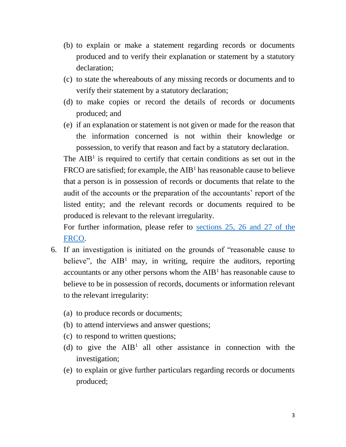- (b) to explain or make a statement regarding records or documents produced and to verify their explanation or statement by a statutory declaration;
- (c) to state the whereabouts of any missing records or documents and to verify their statement by a statutory declaration;
- (d) to make copies or record the details of records or documents produced; and
- (e) if an explanation or statement is not given or made for the reason that the information concerned is not within their knowledge or possession, to verify that reason and fact by a statutory declaration.

The  $AIB<sup>1</sup>$  is required to certify that certain conditions as set out in the FRCO are satisfied; for example, the  $AIB<sup>1</sup>$  has reasonable cause to believe that a person is in possession of records or documents that relate to the audit of the accounts or the preparation of the accountants' report of the listed entity; and the relevant records or documents required to be produced is relevant to the relevant irregularity.

For further information, please refer to [sections 25, 26 and 27 of the](https://www.elegislation.gov.hk/hk/cap588?xpid=ID_1438403493194_001)  [FRCO.](https://www.elegislation.gov.hk/hk/cap588?xpid=ID_1438403493194_001)

- 6. If an investigation is initiated on the grounds of "reasonable cause to believe", the  $AIB<sup>1</sup>$  may, in writing, require the auditors, reporting accountants or any other persons whom the  $AIB<sup>1</sup>$  has reasonable cause to believe to be in possession of records, documents or information relevant to the relevant irregularity:
	- (a) to produce records or documents;
	- (b) to attend interviews and answer questions;
	- (c) to respond to written questions;
	- (d) to give the  $AIB<sup>1</sup>$  all other assistance in connection with the investigation;
	- (e) to explain or give further particulars regarding records or documents produced;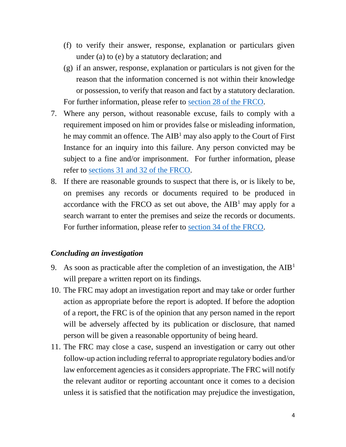- (f) to verify their answer, response, explanation or particulars given under (a) to (e) by a statutory declaration; and
- (g) if an answer, response, explanation or particulars is not given for the reason that the information concerned is not within their knowledge or possession, to verify that reason and fact by a statutory declaration. For further information, please refer to [section 28 of the FRCO.](https://www.elegislation.gov.hk/hk/cap588?xpid=ID_1438403493209_003)
- 7. Where any person, without reasonable excuse, fails to comply with a requirement imposed on him or provides false or misleading information, he may commit an offence. The  $AIB<sup>1</sup>$  may also apply to the Court of First Instance for an inquiry into this failure. Any person convicted may be subject to a fine and/or imprisonment. For further information, please refer to [sections 31 and 32 of the FRCO.](https://www.elegislation.gov.hk/hk/cap588?xpid=ID_1438403493240_003)
- 8. If there are reasonable grounds to suspect that there is, or is likely to be, on premises any records or documents required to be produced in accordance with the FRCO as set out above, the  $AIB<sup>1</sup>$  may apply for a search warrant to enter the premises and seize the records or documents. For further information, please refer to [section 34 of the FRCO.](https://www.elegislation.gov.hk/hk/cap588?xpid=ID_1438403493256_005)

#### *Concluding an investigation*

- 9. As soon as practicable after the completion of an investigation, the  $AIB<sup>1</sup>$ will prepare a written report on its findings.
- 10. The FRC may adopt an investigation report and may take or order further action as appropriate before the report is adopted. If before the adoption of a report, the FRC is of the opinion that any person named in the report will be adversely affected by its publication or disclosure, that named person will be given a reasonable opportunity of being heard.
- 11. The FRC may close a case, suspend an investigation or carry out other follow-up action including referral to appropriate regulatory bodies and/or law enforcement agencies as it considers appropriate. The FRC will notify the relevant auditor or reporting accountant once it comes to a decision unless it is satisfied that the notification may prejudice the investigation,